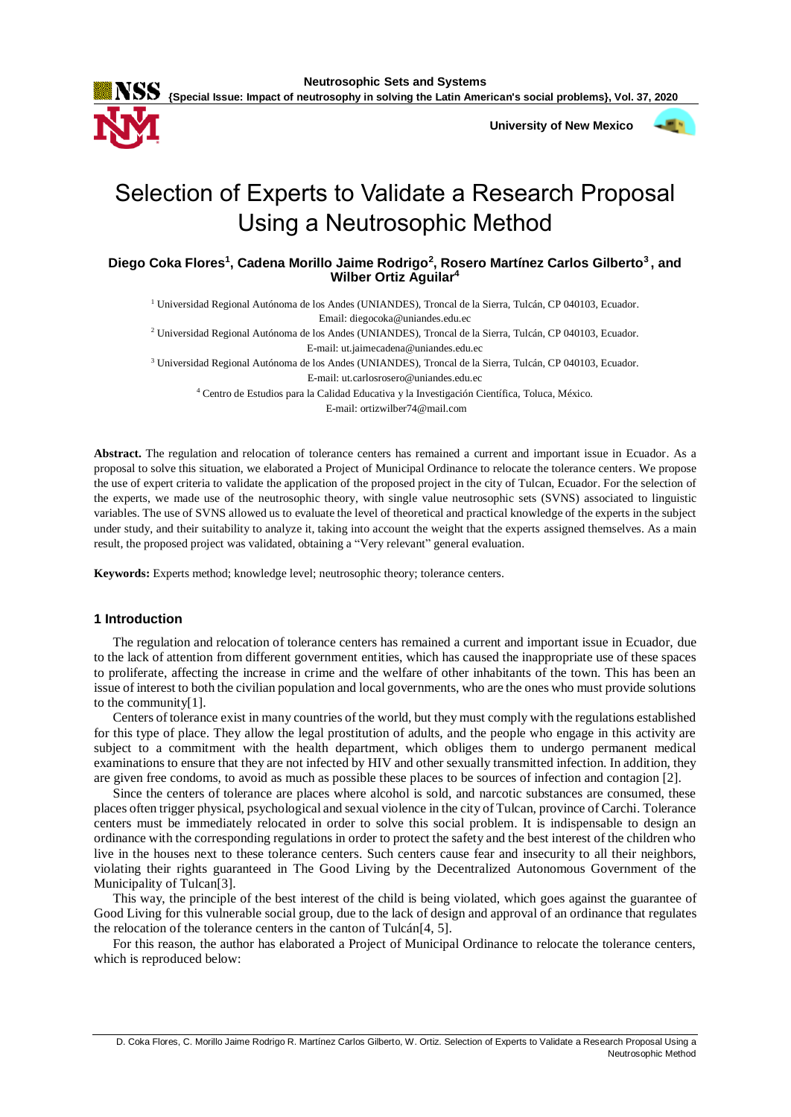

**{Special Issue: Impact of neutrosophy in solving the Latin American's social problems}, Vol. 37, 2020**

 **University of New Mexico**



# Selection of Experts to Validate a Research Proposal Using a Neutrosophic Method

**Diego Coka Flores<sup>1</sup> , Cadena Morillo Jaime Rodrigo<sup>2</sup> , Rosero Martínez Carlos Gilberto<sup>3</sup> , and Wilber Ortiz Aguilar<sup>4</sup>**

<sup>1</sup> Universidad Regional Autónoma de los Andes (UNIANDES), Troncal de la Sierra, Tulcán, CP 040103, Ecuador.

Email: diegocoka@uniandes.edu.ec

<sup>2</sup> Universidad Regional Autónoma de los Andes (UNIANDES), Troncal de la Sierra, Tulcán, CP 040103, Ecuador. E-mail: ut.jaimecadena@uniandes.edu.ec

<sup>3</sup> Universidad Regional Autónoma de los Andes (UNIANDES), Troncal de la Sierra, Tulcán, CP 040103, Ecuador.

E-mail: ut.carlosrosero@uniandes.edu.ec

<sup>4</sup> Centro de Estudios para la Calidad Educativa y la Investigación Científica, Toluca, México.

E-mail[: ortizwilber74@mail.com](mailto:ortizwilber74@mail.com)

**Abstract.** The regulation and relocation of tolerance centers has remained a current and important issue in Ecuador. As a proposal to solve this situation, we elaborated a Project of Municipal Ordinance to relocate the tolerance centers. We propose the use of expert criteria to validate the application of the proposed project in the city of Tulcan, Ecuador. For the selection of the experts, we made use of the neutrosophic theory, with single value neutrosophic sets (SVNS) associated to linguistic variables. The use of SVNS allowed us to evaluate the level of theoretical and practical knowledge of the experts in the subject under study, and their suitability to analyze it, taking into account the weight that the experts assigned themselves. As a main result, the proposed project was validated, obtaining a "Very relevant" general evaluation.

**Keywords:** Experts method; knowledge level; neutrosophic theory; tolerance centers.

## **1 Introduction**

The regulation and relocation of tolerance centers has remained a current and important issue in Ecuador, due to the lack of attention from different government entities, which has caused the inappropriate use of these spaces to proliferate, affecting the increase in crime and the welfare of other inhabitants of the town. This has been an issue of interest to both the civilian population and local governments, who are the ones who must provide solutions to the community[1].

Centers of tolerance exist in many countries of the world, but they must comply with the regulations established for this type of place. They allow the legal prostitution of adults, and the people who engage in this activity are subject to a commitment with the health department, which obliges them to undergo permanent medical examinations to ensure that they are not infected by HIV and other sexually transmitted infection. In addition, they are given free condoms, to avoid as much as possible these places to be sources of infection and contagion [2].

Since the centers of tolerance are places where alcohol is sold, and narcotic substances are consumed, these places often trigger physical, psychological and sexual violence in the city of Tulcan, province of Carchi. Tolerance centers must be immediately relocated in order to solve this social problem. It is indispensable to design an ordinance with the corresponding regulations in order to protect the safety and the best interest of the children who live in the houses next to these tolerance centers. Such centers cause fear and insecurity to all their neighbors, violating their rights guaranteed in The Good Living by the Decentralized Autonomous Government of the Municipality of Tulcan[3].

This way, the principle of the best interest of the child is being violated, which goes against the guarantee of Good Living for this vulnerable social group, due to the lack of design and approval of an ordinance that regulates the relocation of the tolerance centers in the canton of Tulcán[4, 5].

For this reason, the author has elaborated a Project of Municipal Ordinance to relocate the tolerance centers, which is reproduced below: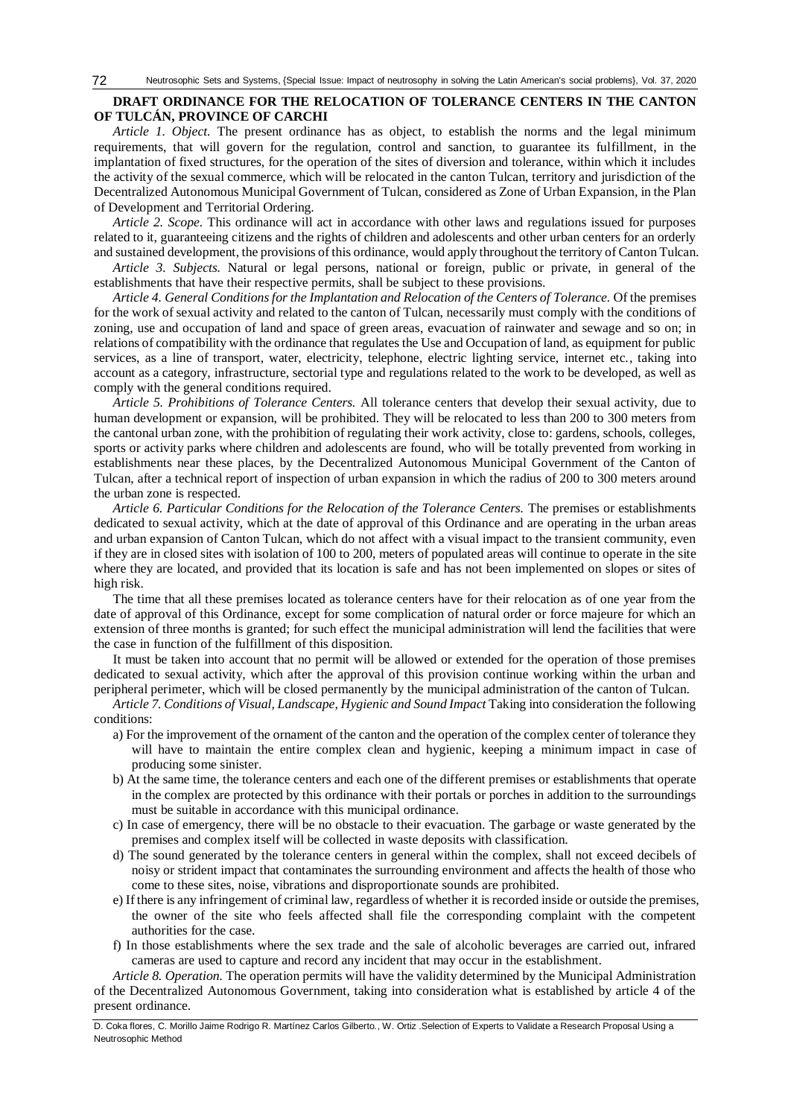### **DRAFT ORDINANCE FOR THE RELOCATION OF TOLERANCE CENTERS IN THE CANTON OF TULCÁN, PROVINCE OF CARCHI**

*Article 1. Object.* The present ordinance has as object, to establish the norms and the legal minimum requirements, that will govern for the regulation, control and sanction, to guarantee its fulfillment, in the implantation of fixed structures, for the operation of the sites of diversion and tolerance, within which it includes the activity of the sexual commerce, which will be relocated in the canton Tulcan, territory and jurisdiction of the Decentralized Autonomous Municipal Government of Tulcan, considered as Zone of Urban Expansion, in the Plan of Development and Territorial Ordering.

*Article 2. Scope.* This ordinance will act in accordance with other laws and regulations issued for purposes related to it, guaranteeing citizens and the rights of children and adolescents and other urban centers for an orderly and sustained development, the provisions of this ordinance, would apply throughout the territory of Canton Tulcan.

*Article 3. Subjects.* Natural or legal persons, national or foreign, public or private, in general of the establishments that have their respective permits, shall be subject to these provisions.

*Article 4. General Conditions for the Implantation and Relocation of the Centers of Tolerance.* Of the premises for the work of sexual activity and related to the canton of Tulcan, necessarily must comply with the conditions of zoning, use and occupation of land and space of green areas, evacuation of rainwater and sewage and so on; in relations of compatibility with the ordinance that regulates the Use and Occupation of land, as equipment for public services, as a line of transport, water, electricity, telephone, electric lighting service, internet etc., taking into account as a category, infrastructure, sectorial type and regulations related to the work to be developed, as well as comply with the general conditions required.

*Article 5. Prohibitions of Tolerance Centers.* All tolerance centers that develop their sexual activity, due to human development or expansion, will be prohibited. They will be relocated to less than 200 to 300 meters from the cantonal urban zone, with the prohibition of regulating their work activity, close to: gardens, schools, colleges, sports or activity parks where children and adolescents are found, who will be totally prevented from working in establishments near these places, by the Decentralized Autonomous Municipal Government of the Canton of Tulcan, after a technical report of inspection of urban expansion in which the radius of 200 to 300 meters around the urban zone is respected.

*Article 6. Particular Conditions for the Relocation of the Tolerance Centers.* The premises or establishments dedicated to sexual activity, which at the date of approval of this Ordinance and are operating in the urban areas and urban expansion of Canton Tulcan, which do not affect with a visual impact to the transient community, even if they are in closed sites with isolation of 100 to 200, meters of populated areas will continue to operate in the site where they are located, and provided that its location is safe and has not been implemented on slopes or sites of high risk.

The time that all these premises located as tolerance centers have for their relocation as of one year from the date of approval of this Ordinance, except for some complication of natural order or force majeure for which an extension of three months is granted; for such effect the municipal administration will lend the facilities that were the case in function of the fulfillment of this disposition.

It must be taken into account that no permit will be allowed or extended for the operation of those premises dedicated to sexual activity, which after the approval of this provision continue working within the urban and peripheral perimeter, which will be closed permanently by the municipal administration of the canton of Tulcan.

*Article 7. Conditions of Visual, Landscape, Hygienic and Sound Impact* Taking into consideration the following conditions:

- a) For the improvement of the ornament of the canton and the operation of the complex center of tolerance they will have to maintain the entire complex clean and hygienic, keeping a minimum impact in case of producing some sinister.
- b) At the same time, the tolerance centers and each one of the different premises or establishments that operate in the complex are protected by this ordinance with their portals or porches in addition to the surroundings must be suitable in accordance with this municipal ordinance.
- c) In case of emergency, there will be no obstacle to their evacuation. The garbage or waste generated by the premises and complex itself will be collected in waste deposits with classification.
- d) The sound generated by the tolerance centers in general within the complex, shall not exceed decibels of noisy or strident impact that contaminates the surrounding environment and affects the health of those who come to these sites, noise, vibrations and disproportionate sounds are prohibited.
- e) If there is any infringement of criminal law, regardless of whether it is recorded inside or outside the premises, the owner of the site who feels affected shall file the corresponding complaint with the competent authorities for the case.
- f) In those establishments where the sex trade and the sale of alcoholic beverages are carried out, infrared cameras are used to capture and record any incident that may occur in the establishment.

*Article 8. Operation.* The operation permits will have the validity determined by the Municipal Administration of the Decentralized Autonomous Government, taking into consideration what is established by article 4 of the present ordinance.

D. Coka flores, C. Morillo Jaime Rodrigo R. Martínez Carlos Gilberto., W. Ortiz .Selection of Experts to Validate a Research Proposal Using a Neutrosophic Method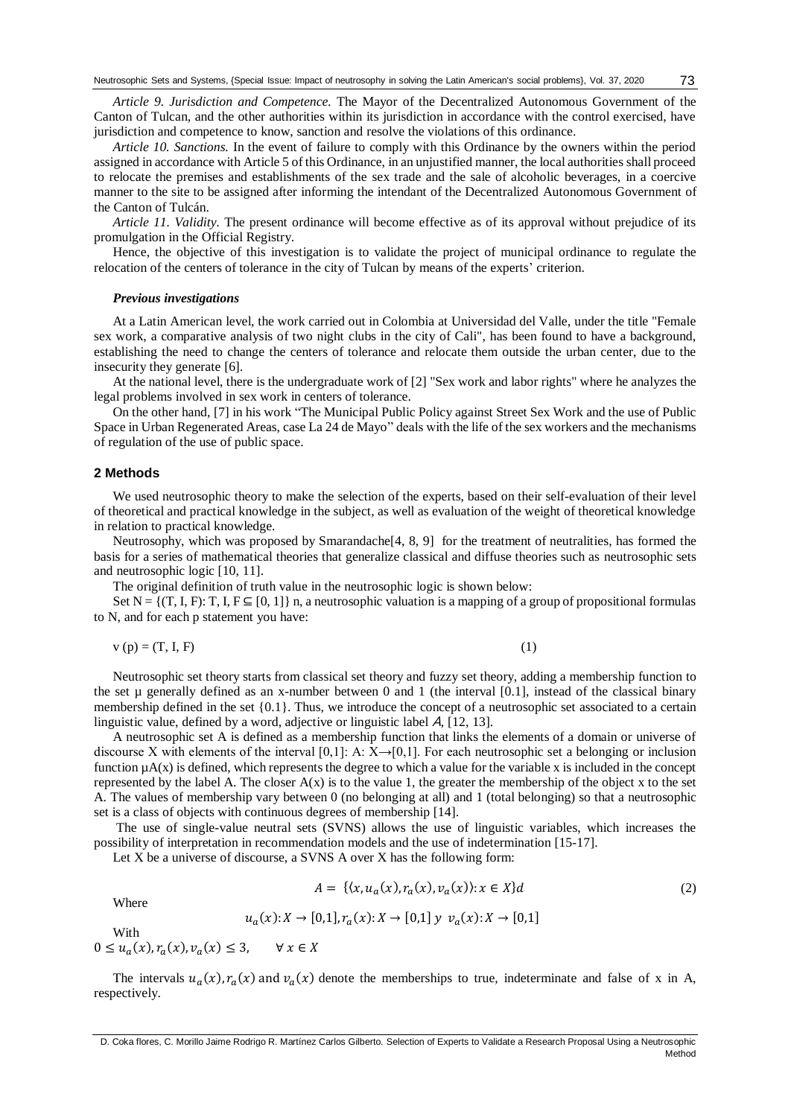*Article 9. Jurisdiction and Competence.* The Mayor of the Decentralized Autonomous Government of the Canton of Tulcan, and the other authorities within its jurisdiction in accordance with the control exercised, have jurisdiction and competence to know, sanction and resolve the violations of this ordinance.

*Article 10. Sanctions.* In the event of failure to comply with this Ordinance by the owners within the period assigned in accordance with Article 5 of this Ordinance, in an unjustified manner, the local authorities shall proceed to relocate the premises and establishments of the sex trade and the sale of alcoholic beverages, in a coercive manner to the site to be assigned after informing the intendant of the Decentralized Autonomous Government of the Canton of Tulcán.

*Article 11. Validity.* The present ordinance will become effective as of its approval without prejudice of its promulgation in the Official Registry.

Hence, the objective of this investigation is to validate the project of municipal ordinance to regulate the relocation of the centers of tolerance in the city of Tulcan by means of the experts' criterion.

#### *Previous investigations*

At a Latin American level, the work carried out in Colombia at Universidad del Valle, under the title "Female sex work, a comparative analysis of two night clubs in the city of Cali", has been found to have a background, establishing the need to change the centers of tolerance and relocate them outside the urban center, due to the insecurity they generate [6].

At the national level, there is the undergraduate work of [2] "Sex work and labor rights" where he analyzes the legal problems involved in sex work in centers of tolerance.

On the other hand, [7] in his work "The Municipal Public Policy against Street Sex Work and the use of Public Space in Urban Regenerated Areas, case La 24 de Mayo" deals with the life of the sex workers and the mechanisms of regulation of the use of public space.

### **2 Methods**

We used neutrosophic theory to make the selection of the experts, based on their self-evaluation of their level of theoretical and practical knowledge in the subject, as well as evaluation of the weight of theoretical knowledge in relation to practical knowledge.

Neutrosophy, which was proposed by Smarandache[4, 8, 9] for the treatment of neutralities, has formed the basis for a series of mathematical theories that generalize classical and diffuse theories such as neutrosophic sets and neutrosophic logic [10, 11].

The original definition of truth value in the neutrosophic logic is shown below:

Set N = { $(T, I, F)$ : T, I, F  $\subseteq$  [0, 1]} n, a neutrosophic valuation is a mapping of a group of propositional formulas to N, and for each p statement you have:

$$
v(p) = (T, I, F) \tag{1}
$$

Neutrosophic set theory starts from classical set theory and fuzzy set theory, adding a membership function to the set  $\mu$  generally defined as an x-number between 0 and 1 (the interval [0.1], instead of the classical binary membership defined in the set {0.1}. Thus, we introduce the concept of a neutrosophic set associated to a certain linguistic value, defined by a word, adjective or linguistic label A, [12, 13].

A neutrosophic set A is defined as a membership function that links the elements of a domain or universe of discourse X with elements of the interval [0,1]: A:  $X\rightarrow [0,1]$ . For each neutrosophic set a belonging or inclusion function  $\mu$ A(x) is defined, which represents the degree to which a value for the variable x is included in the concept represented by the label A. The closer  $A(x)$  is to the value 1, the greater the membership of the object x to the set A. The values of membership vary between 0 (no belonging at all) and 1 (total belonging) so that a neutrosophic set is a class of objects with continuous degrees of membership [14].

The use of single-value neutral sets (SVNS) allows the use of linguistic variables, which increases the possibility of interpretation in recommendation models and the use of indetermination [15-17].

Let X be a universe of discourse, a SVNS A over X has the following form:

$$
A = \{ (x, u_a(x), r_a(x), v_a(x)) : x \in X \} d \tag{2}
$$

Where

With

 $u_a(x): X \to [0,1], r_a(x): X \to [0,1]$   $y \, v_a(x): X \to [0,1]$ 

 $0 \le u_a(x), r_a(x), v_a(x) \le 3, \quad \forall x \in X$ 

The intervals  $u_a(x)$ ,  $r_a(x)$  and  $v_a(x)$  denote the memberships to true, indeterminate and false of x in A, respectively.

D. Coka flores, C. Morillo Jaime Rodrigo R. Martínez Carlos Gilberto. Selection of Experts to Validate a Research Proposal Using a Neutrosophic Method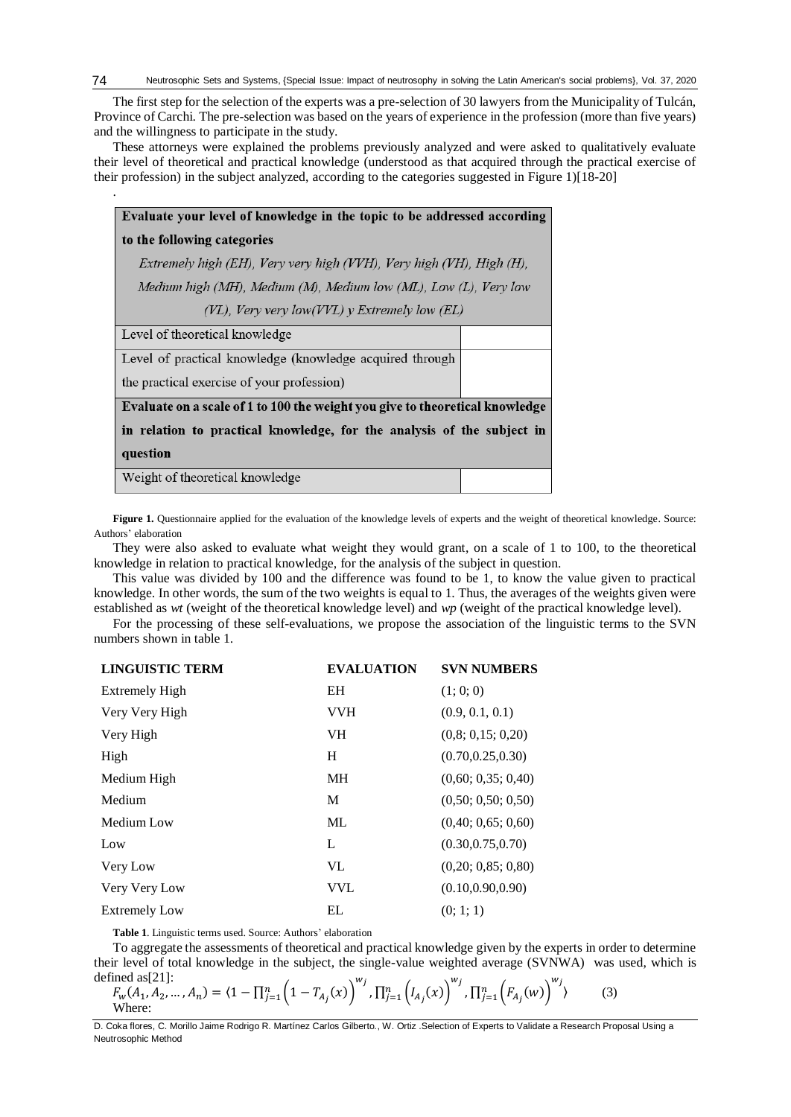The first step for the selection of the experts was a pre-selection of 30 lawyers from the Municipality of Tulcán, Province of Carchi. The pre-selection was based on the years of experience in the profession (more than five years) and the willingness to participate in the study.

These attorneys were explained the problems previously analyzed and were asked to qualitatively evaluate their level of theoretical and practical knowledge (understood as that acquired through the practical exercise of their profession) in the subject analyzed, according to the categories suggested in Figure 1)[18-20]

| Evaluate your level of knowledge in the topic to be addressed according      |  |  |  |
|------------------------------------------------------------------------------|--|--|--|
| to the following categories                                                  |  |  |  |
| Extremely high (EH), Very very high (VVH), Very high (VH), High (H),         |  |  |  |
| Medium high $(MH)$ , Medium $(M)$ , Medium low $(ML)$ , Low $(L)$ , Very low |  |  |  |
| $(VL)$ , Very very low $(VVL)$ y Extremely low $(EL)$                        |  |  |  |
| Level of theoretical knowledge                                               |  |  |  |
| Level of practical knowledge (knowledge acquired through                     |  |  |  |
| the practical exercise of your profession)                                   |  |  |  |
| Evaluate on a scale of 1 to 100 the weight you give to theoretical knowledge |  |  |  |
| in relation to practical knowledge, for the analysis of the subject in       |  |  |  |
| question                                                                     |  |  |  |
| Weight of theoretical knowledge                                              |  |  |  |

.

**Figure 1.** Questionnaire applied for the evaluation of the knowledge levels of experts and the weight of theoretical knowledge. Source: Authors' elaboration

They were also asked to evaluate what weight they would grant, on a scale of 1 to 100, to the theoretical knowledge in relation to practical knowledge, for the analysis of the subject in question.

This value was divided by 100 and the difference was found to be 1, to know the value given to practical knowledge. In other words, the sum of the two weights is equal to 1. Thus, the averages of the weights given were established as *wt* (weight of the theoretical knowledge level) and *wp* (weight of the practical knowledge level).

For the processing of these self-evaluations, we propose the association of the linguistic terms to the SVN numbers shown in table 1.

| <b>LINGUISTIC TERM</b> | <b>EVALUATION</b> | <b>SVN NUMBERS</b> |
|------------------------|-------------------|--------------------|
| Extremely High         | EH                | (1; 0; 0)          |
| Very Very High         | <b>VVH</b>        | (0.9, 0.1, 0.1)    |
| Very High              | <b>VH</b>         | (0,8; 0,15; 0,20)  |
| High                   | H                 | (0.70, 0.25, 0.30) |
| Medium High            | MH                | (0,60; 0,35; 0,40) |
| Medium                 | М                 | (0,50; 0,50; 0,50) |
| Medium Low             | ML.               | (0,40; 0,65; 0,60) |
| Low                    | L                 | (0.30, 0.75, 0.70) |
| Very Low               | VL                | (0,20; 0,85; 0,80) |
| Very Very Low          | <b>VVL</b>        | (0.10, 0.90, 0.90) |
| <b>Extremely Low</b>   | EL                | (0; 1; 1)          |

**Table 1**. Linguistic terms used. Source: Authors' elaboration

To aggregate the assessments of theoretical and practical knowledge given by the experts in order to determine their level of total knowledge in the subject, the single-value weighted average (SVNWA) was used, which is defined as[21]:  $\int_{j=1}^{n} (I_{A_j}(x))^{w_j}$ ,  $\prod_{j=1}^{n} (F_{A_j}(w))^{w_j}$ 〉 (3)

med as $[21]$ :<br>  $F_w(A_1, A_2, ..., A_n) = (1 - \prod_{j=1}^n (1 - T_{A_j}(x)))^{w_j}$ ,  $\prod_{j=1}^n (I_{A_j}(x))^{w_j}$ Where:

D. Coka flores, C. Morillo Jaime Rodrigo R. Martínez Carlos Gilberto., W. Ortiz .Selection of Experts to Validate a Research Proposal Using a Neutrosophic Method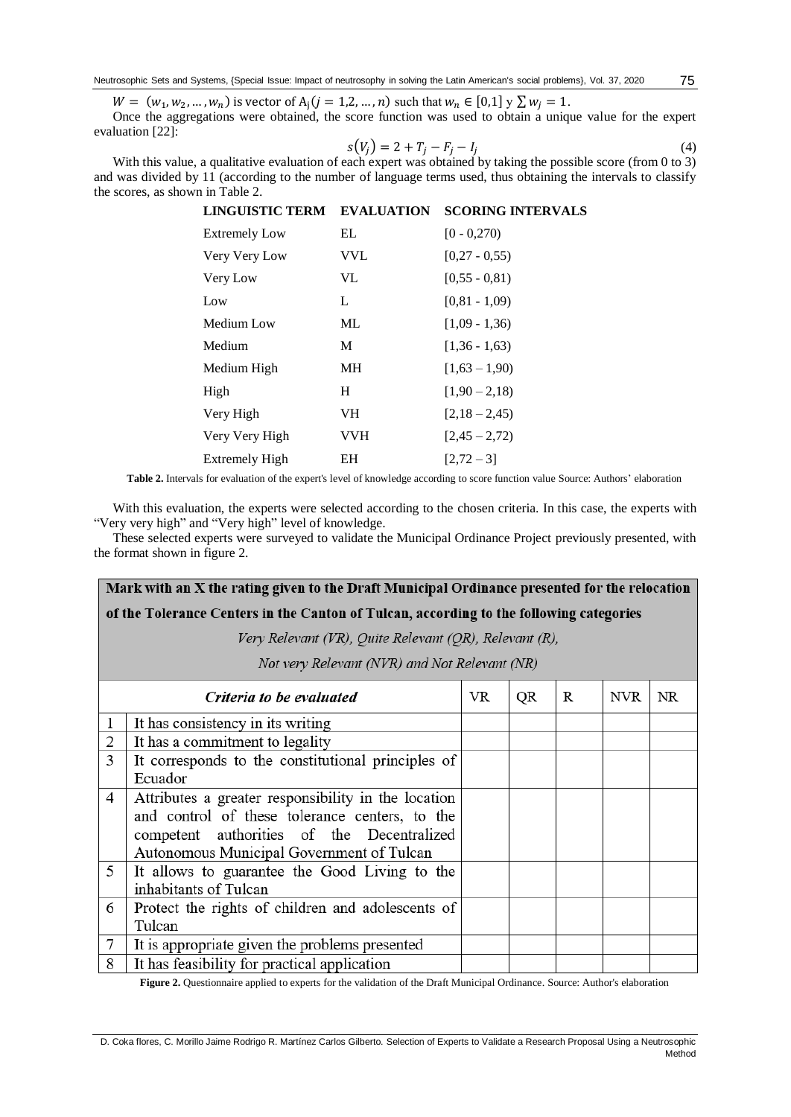$W = (w_1, w_2, ..., w_n)$  is vector of  $A_j (j = 1, 2, ..., n)$  such that  $w_n \in [0, 1]$  y  $\sum w_j = 1$ .

Once the aggregations were obtained, the score function was used to obtain a unique value for the expert evaluation [22]:

$$
s(V_j) = 2 + T_j - F_j - I_j \tag{4}
$$

With this value, a qualitative evaluation of each expert was obtained by taking the possible score (from 0 to 3) and was divided by 11 (according to the number of language terms used, thus obtaining the intervals to classify the scores, as shown in Table 2.

| <b>LINGUISTIC TERM</b> | <b>EVALUATION</b> | <b>SCORING INTERVALS</b> |
|------------------------|-------------------|--------------------------|
| <b>Extremely Low</b>   | EL                | $[0 - 0.270]$            |
| Very Very Low          | <b>VVL</b>        | $[0.27 - 0.55)$          |
| Very Low               | VL                | $[0.55 - 0.81)$          |
| Low                    | L                 | $[0, 81 - 1, 09)$        |
| Medium Low             | ML.               | $[1,09 - 1,36)$          |
| Medium                 | M                 | $[1,36 - 1,63)$          |
| Medium High            | МH                | $[1,63 - 1,90)$          |
| High                   | H                 | $[1,90 - 2,18]$          |
| Very High              | VH                | $[2, 18 - 2, 45]$        |
| Very Very High         | <b>VVH</b>        | $[2,45 - 2,72)$          |
| <b>Extremely High</b>  | EΗ                | $[2, 72 - 3]$            |
|                        |                   |                          |

**Table 2.** Intervals for evaluation of the expert's level of knowledge according to score function value Source: Authors' elaboration

With this evaluation, the experts were selected according to the chosen criteria. In this case, the experts with "Very very high" and "Very high" level of knowledge.

These selected experts were surveyed to validate the Municipal Ordinance Project previously presented, with the format shown in figure 2.

|   | Mark with an X the rating given to the Draft Municipal Ordinance presented for the relocation |    |    |   |            |     |
|---|-----------------------------------------------------------------------------------------------|----|----|---|------------|-----|
|   | of the Tolerance Centers in the Canton of Tulcan, according to the following categories       |    |    |   |            |     |
|   | Very Relevant (VR), Quite Relevant (QR), Relevant (R),                                        |    |    |   |            |     |
|   | Not very Relevant (NVR) and Not Relevant (NR)                                                 |    |    |   |            |     |
|   | Criteria to be evaluated                                                                      | VR | QR | R | <b>NVR</b> | NR. |
| 1 | It has consistency in its writing                                                             |    |    |   |            |     |
| 2 | It has a commitment to legality                                                               |    |    |   |            |     |
| 3 | It corresponds to the constitutional principles of                                            |    |    |   |            |     |
|   | Ecuador                                                                                       |    |    |   |            |     |
| 4 | Attributes a greater responsibility in the location                                           |    |    |   |            |     |
|   | and control of these tolerance centers, to the                                                |    |    |   |            |     |
|   | competent authorities of the Decentralized                                                    |    |    |   |            |     |
|   | Autonomous Municipal Government of Tulcan                                                     |    |    |   |            |     |
| 5 | It allows to guarantee the Good Living to the                                                 |    |    |   |            |     |
|   | inhabitants of Tulcan                                                                         |    |    |   |            |     |
| 6 | Protect the rights of children and adolescents of                                             |    |    |   |            |     |
|   | Tulcan                                                                                        |    |    |   |            |     |
| 7 | It is appropriate given the problems presented                                                |    |    |   |            |     |
| 8 | It has feasibility for practical application                                                  |    |    |   |            |     |

**Figure 2.** Questionnaire applied to experts for the validation of the Draft Municipal Ordinance. Source: Author's elaboration

D. Coka flores, C. Morillo Jaime Rodrigo R. Martínez Carlos Gilberto. Selection of Experts to Validate a Research Proposal Using a Neutrosophic Method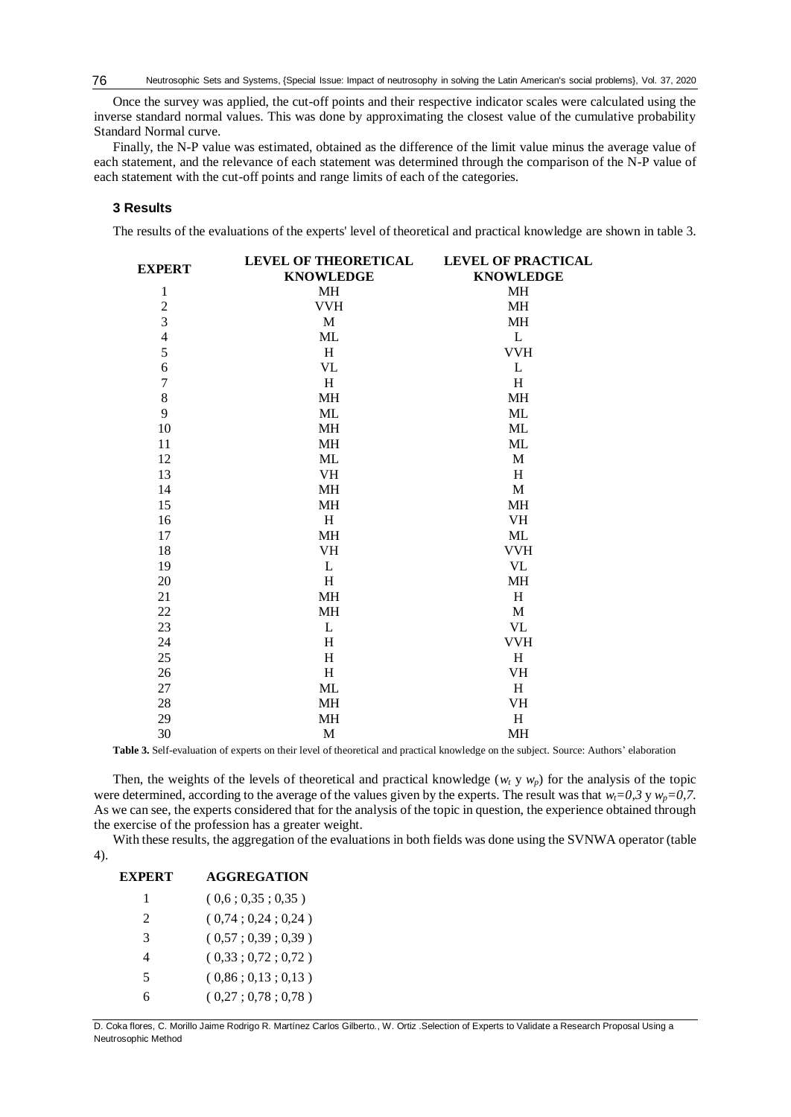Once the survey was applied, the cut-off points and their respective indicator scales were calculated using the inverse standard normal values. This was done by approximating the closest value of the cumulative probability Standard Normal curve.

Finally, the N-P value was estimated, obtained as the difference of the limit value minus the average value of each statement, and the relevance of each statement was determined through the comparison of the N-P value of each statement with the cut-off points and range limits of each of the categories.

#### **3 Results**

The results of the evaluations of the experts' level of theoretical and practical knowledge are shown in table 3.

| <b>EXPERT</b>            | <b>LEVEL OF THEORETICAL</b> | <b>LEVEL OF PRACTICAL</b> |  |  |
|--------------------------|-----------------------------|---------------------------|--|--|
|                          | <b>KNOWLEDGE</b>            | <b>KNOWLEDGE</b>          |  |  |
| $\mathbf{1}$             | MH                          | MH                        |  |  |
| $\sqrt{2}$               | <b>VVH</b>                  | MH                        |  |  |
| $\overline{3}$           | M                           | MH                        |  |  |
| $\overline{\mathcal{L}}$ | <b>ML</b>                   | $\mathbf L$               |  |  |
| 5                        | H                           | <b>VVH</b>                |  |  |
| 6                        | <b>VL</b>                   | L                         |  |  |
| $\tau$                   | H                           | H                         |  |  |
| $\,8\,$                  | <b>MH</b>                   | МH                        |  |  |
| 9                        | ML                          | ML                        |  |  |
| 10                       | MH                          | ML                        |  |  |
| 11                       | <b>MH</b>                   | ML                        |  |  |
| 12                       | <b>ML</b>                   | M                         |  |  |
| 13                       | <b>VH</b>                   | H                         |  |  |
| 14                       | MH                          | M                         |  |  |
| 15                       | MH                          | МH                        |  |  |
| 16                       | $\, {\rm H}$                | <b>VH</b>                 |  |  |
| 17                       | <b>MH</b>                   | ML                        |  |  |
| 18                       | <b>VH</b>                   | <b>VVH</b>                |  |  |
| 19                       | L                           | <b>VL</b>                 |  |  |
| 20                       | H                           | MH                        |  |  |
| 21                       | MH                          | H                         |  |  |
| 22                       | MH                          | $\mathbf M$               |  |  |
| 23                       | L                           | <b>VL</b>                 |  |  |
| 24                       | H                           | <b>VVH</b>                |  |  |
| 25                       | H                           | H                         |  |  |
| 26                       | $\boldsymbol{\mathrm{H}}$   | <b>VH</b>                 |  |  |
| 27                       | ML                          | H                         |  |  |
| 28                       | <b>MH</b>                   | <b>VH</b>                 |  |  |
| 29                       | MH                          | H                         |  |  |
| 30                       | M                           | <b>MH</b>                 |  |  |

**Table 3.** Self-evaluation of experts on their level of theoretical and practical knowledge on the subject. Source: Authors' elaboration

Then, the weights of the levels of theoretical and practical knowledge ( $w_t$  y  $w_p$ ) for the analysis of the topic were determined, according to the average of the values given by the experts. The result was that  $w_t = 0.3 \, \text{y} \, w_p = 0.7$ . As we can see, the experts considered that for the analysis of the topic in question, the experience obtained through the exercise of the profession has a greater weight.

With these results, the aggregation of the evaluations in both fields was done using the SVNWA operator (table 4).

| EXPERT | <b>AGGREGATION</b>    |
|--------|-----------------------|
| 1      | (0,6;0,35;0,35)       |
| 2      | (0,74;0,24;0,24)      |
| 3      | (0,57;0,39;0,39)      |
| 4      | (0,33;0,72;0,72)      |
| 5      | (0, 86; 0, 13; 0, 13) |
| 6      | (0,27;0,78;0,78)      |
|        |                       |

D. Coka flores, C. Morillo Jaime Rodrigo R. Martínez Carlos Gilberto., W. Ortiz .Selection of Experts to Validate a Research Proposal Using a Neutrosophic Method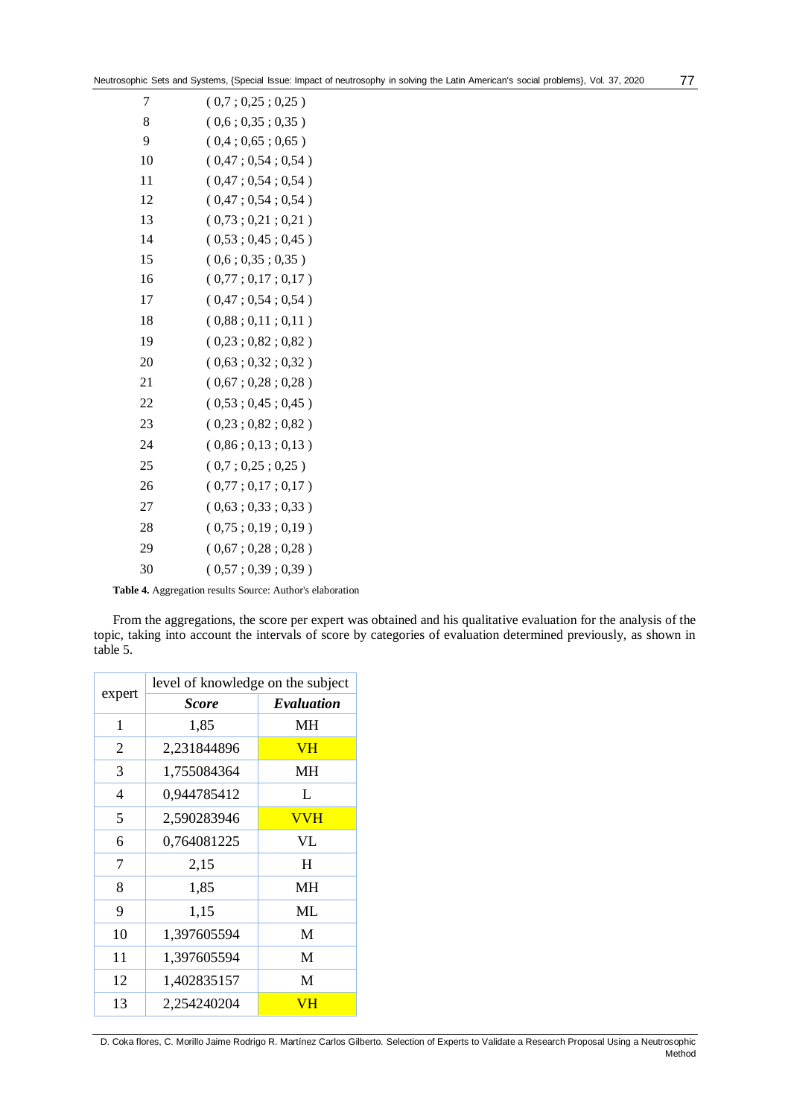| 7  | (0,7;0,25;0,25)    |
|----|--------------------|
| 8  | (0,6;0,35;0,35)    |
| 9  | (0,4;0,65;0,65)    |
| 10 | (0,47;0,54;0,54)   |
| 11 | (0,47;0,54;0,54)   |
| 12 | (0,47;0,54;0,54)   |
| 13 | (0.73; 0.21; 0.21) |
| 14 | (0,53;0,45;0,45)   |
| 15 | (0,6;0,35;0,35)    |
| 16 | (0.77; 0.17; 0.17) |
| 17 | (0,47;0,54;0,54)   |
| 18 | (0,88;0,11;0,11)   |
| 19 | (0,23;0,82;0,82)   |
| 20 | (0,63;0,32;0,32)   |
| 21 | (0,67;0,28;0,28)   |
| 22 | (0,53;0,45;0,45)   |
| 23 | (0,23;0,82;0,82)   |
| 24 | (0,86;0,13;0,13)   |
| 25 | (0,7;0,25;0,25)    |
| 26 | (0.77; 0.17; 0.17) |
| 27 | (0,63;0,33;0,33)   |
| 28 | (0.75; 0.19; 0.19) |
| 29 | (.0,67;0,28;0,28)  |
| 30 | (0,57;0,39;0,39)   |
|    |                    |

**Table 4.** Aggregation results Source: Author's elaboration

From the aggregations, the score per expert was obtained and his qualitative evaluation for the analysis of the topic, taking into account the intervals of score by categories of evaluation determined previously, as shown in table 5.

|        | level of knowledge on the subject |            |  |  |
|--------|-----------------------------------|------------|--|--|
| expert | <b>Score</b>                      | Evaluation |  |  |
| 1      | 1,85                              | MН         |  |  |
| 2      | 2,231844896                       | <b>VH</b>  |  |  |
| 3      | 1,755084364                       | MН         |  |  |
| 4      | 0,944785412                       | L          |  |  |
| 5      | 2,590283946                       | <b>VVH</b> |  |  |
| 6      | 0,764081225                       | VL         |  |  |
| 7      | 2,15                              | H          |  |  |
| 8      | 1,85                              | MН         |  |  |
| 9      | 1,15                              | ML         |  |  |
| 10     | 1,397605594                       | M          |  |  |
| 11     | 1,397605594                       | M          |  |  |
| 12     | 1,402835157                       | M          |  |  |
| 13     | 2,254240204                       | VH         |  |  |

D. Coka flores, C. Morillo Jaime Rodrigo R. Martínez Carlos Gilberto. Selection of Experts to Validate a Research Proposal Using a Neutrosophic Method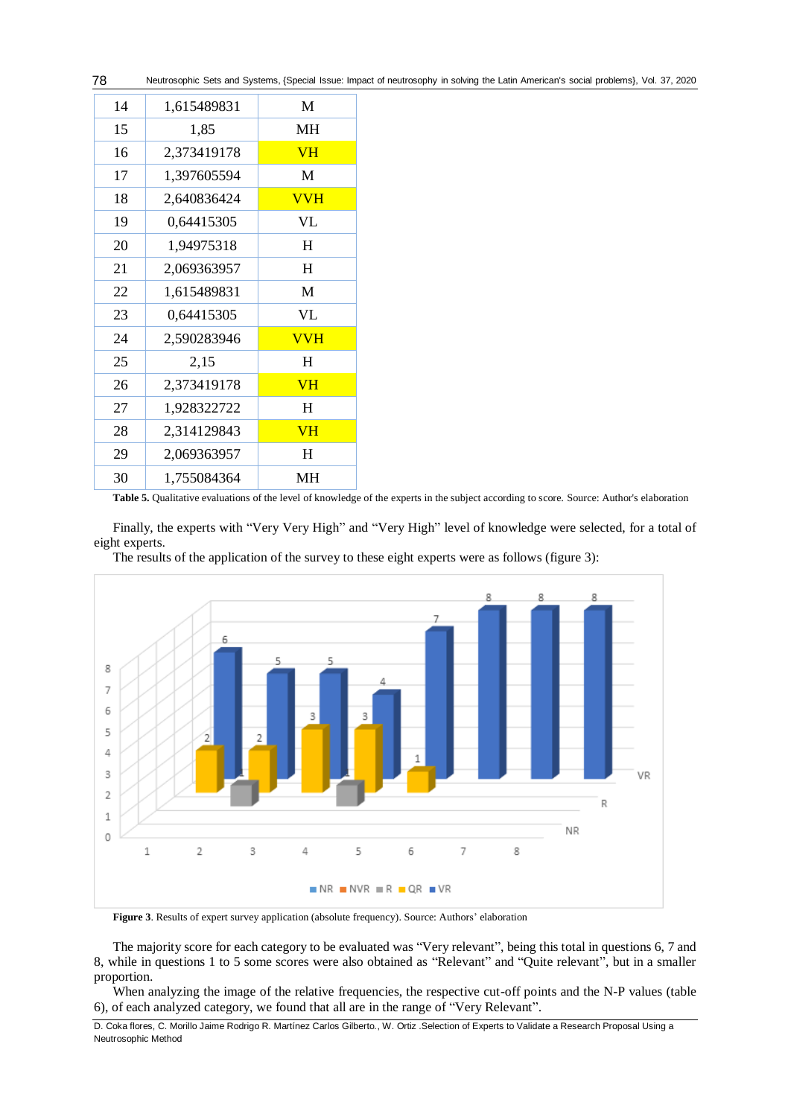Neutrosophic Sets and Systems, {Special Issue: Impact of neutrosophy in solving the Latin American's social problems}, Vol. 37, 2020 78

| 1,615489831 | M          |
|-------------|------------|
| 1,85        | MН         |
| 2,373419178 | <b>VH</b>  |
| 1,397605594 | M          |
| 2,640836424 | <b>VVH</b> |
| 0,64415305  | VL         |
| 1,94975318  | H          |
| 2,069363957 | H          |
| 1,615489831 | M          |
| 0,64415305  | VL         |
| 2,590283946 | <b>VVH</b> |
| 2,15        | H          |
| 2,373419178 | <b>VH</b>  |
| 1,928322722 | H          |
| 2,314129843 | <b>VH</b>  |
| 2,069363957 | H          |
| 1,755084364 | MН         |
|             |            |

**Table 5.** Qualitative evaluations of the level of knowledge of the experts in the subject according to score. Source: Author's elaboration

Finally, the experts with "Very Very High" and "Very High" level of knowledge were selected, for a total of eight experts.

The results of the application of the survey to these eight experts were as follows (figure 3):



**Figure 3**. Results of expert survey application (absolute frequency). Source: Authors' elaboration

The majority score for each category to be evaluated was "Very relevant", being this total in questions 6, 7 and 8, while in questions 1 to 5 some scores were also obtained as "Relevant" and "Quite relevant", but in a smaller proportion.

When analyzing the image of the relative frequencies, the respective cut-off points and the N-P values (table 6), of each analyzed category, we found that all are in the range of "Very Relevant".

D. Coka flores, C. Morillo Jaime Rodrigo R. Martínez Carlos Gilberto., W. Ortiz .Selection of Experts to Validate a Research Proposal Using a Neutrosophic Method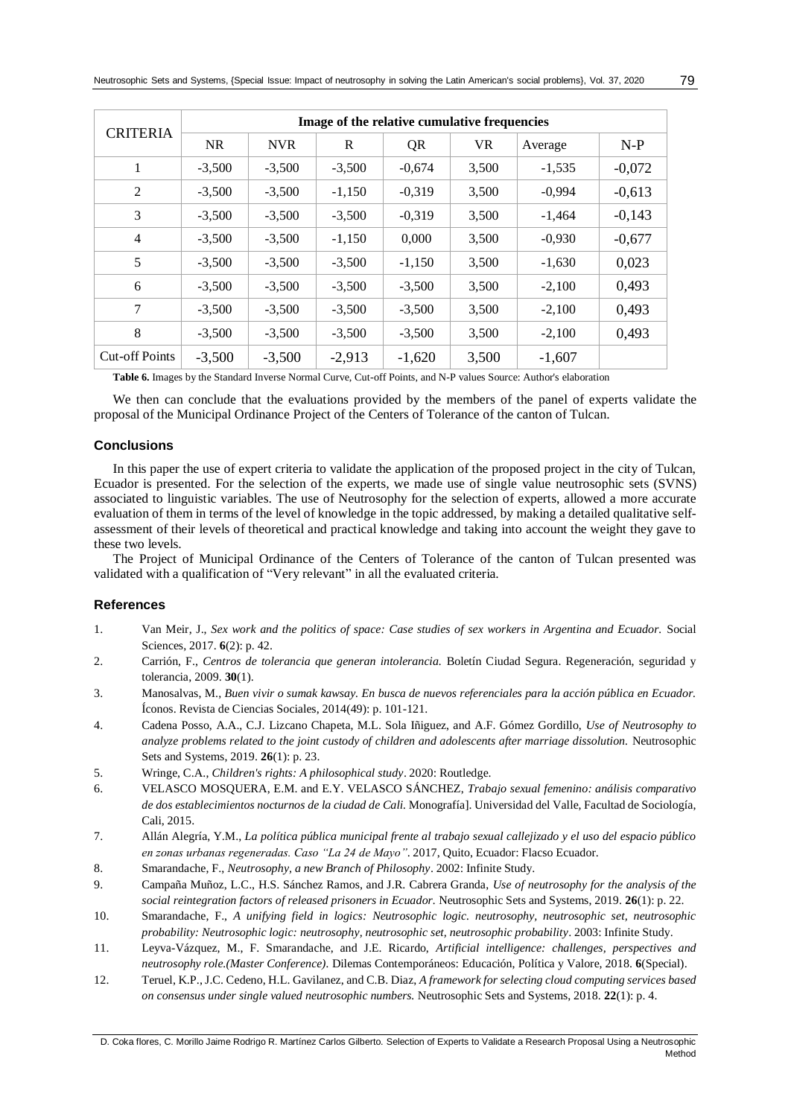| <b>CRITERIA</b>       | Image of the relative cumulative frequencies |            |          |          |           |          |          |
|-----------------------|----------------------------------------------|------------|----------|----------|-----------|----------|----------|
|                       | <b>NR</b>                                    | <b>NVR</b> | R        | QR       | <b>VR</b> | Average  | $N-P$    |
| 1                     | $-3,500$                                     | $-3,500$   | $-3,500$ | $-0,674$ | 3,500     | $-1,535$ | $-0,072$ |
| 2                     | $-3,500$                                     | $-3,500$   | $-1,150$ | $-0,319$ | 3,500     | $-0,994$ | $-0,613$ |
| 3                     | $-3,500$                                     | $-3,500$   | $-3,500$ | $-0,319$ | 3,500     | $-1,464$ | $-0,143$ |
| $\overline{4}$        | $-3,500$                                     | $-3,500$   | $-1,150$ | 0,000    | 3,500     | $-0.930$ | $-0,677$ |
| 5                     | $-3,500$                                     | $-3,500$   | $-3,500$ | $-1,150$ | 3,500     | $-1,630$ | 0,023    |
| 6                     | $-3,500$                                     | $-3,500$   | $-3,500$ | $-3,500$ | 3,500     | $-2,100$ | 0,493    |
| 7                     | $-3.500$                                     | $-3,500$   | $-3,500$ | $-3,500$ | 3,500     | $-2,100$ | 0,493    |
| 8                     | $-3,500$                                     | $-3,500$   | $-3,500$ | $-3,500$ | 3,500     | $-2,100$ | 0,493    |
| <b>Cut-off Points</b> | $-3,500$                                     | $-3,500$   | $-2,913$ | $-1,620$ | 3,500     | $-1,607$ |          |

**Table 6.** Images by the Standard Inverse Normal Curve, Cut-off Points, and N-P values Source: Author's elaboration

We then can conclude that the evaluations provided by the members of the panel of experts validate the proposal of the Municipal Ordinance Project of the Centers of Tolerance of the canton of Tulcan.

### **Conclusions**

In this paper the use of expert criteria to validate the application of the proposed project in the city of Tulcan, Ecuador is presented. For the selection of the experts, we made use of single value neutrosophic sets (SVNS) associated to linguistic variables. The use of Neutrosophy for the selection of experts, allowed a more accurate evaluation of them in terms of the level of knowledge in the topic addressed, by making a detailed qualitative selfassessment of their levels of theoretical and practical knowledge and taking into account the weight they gave to these two levels.

The Project of Municipal Ordinance of the Centers of Tolerance of the canton of Tulcan presented was validated with a qualification of "Very relevant" in all the evaluated criteria.

### **References**

- 1. Van Meir, J., *Sex work and the politics of space: Case studies of sex workers in Argentina and Ecuador.* Social Sciences, 2017. **6**(2): p. 42.
- 2. Carrión, F., *Centros de tolerancia que generan intolerancia.* Boletín Ciudad Segura. Regeneración, seguridad y tolerancia, 2009. **30**(1).
- 3. Manosalvas, M., *Buen vivir o sumak kawsay. En busca de nuevos referenciales para la acción pública en Ecuador.* Íconos. Revista de Ciencias Sociales, 2014(49): p. 101-121.
- 4. Cadena Posso, A.A., C.J. Lizcano Chapeta, M.L. Sola Iñiguez, and A.F. Gómez Gordillo, *Use of Neutrosophy to analyze problems related to the joint custody of children and adolescents after marriage dissolution.* Neutrosophic Sets and Systems, 2019. **26**(1): p. 23.
- 5. Wringe, C.A., *Children's rights: A philosophical study*. 2020: Routledge.
- 6. VELASCO MOSQUERA, E.M. and E.Y. VELASCO SÁNCHEZ, *Trabajo sexual femenino: análisis comparativo de dos establecimientos nocturnos de la ciudad de Cali.* Monografía]. Universidad del Valle, Facultad de Sociología, Cali, 2015.
- 7. Allán Alegría, Y.M., *La política pública municipal frente al trabajo sexual callejizado y el uso del espacio público en zonas urbanas regeneradas. Caso "La 24 de Mayo"*. 2017, Quito, Ecuador: Flacso Ecuador.
- 8. Smarandache, F., *Neutrosophy, a new Branch of Philosophy*. 2002: Infinite Study.
- 9. Campaña Muñoz, L.C., H.S. Sánchez Ramos, and J.R. Cabrera Granda, *Use of neutrosophy for the analysis of the social reintegration factors of released prisoners in Ecuador.* Neutrosophic Sets and Systems, 2019. **26**(1): p. 22.
- 10. Smarandache, F., *A unifying field in logics: Neutrosophic logic. neutrosophy, neutrosophic set, neutrosophic probability: Neutrosophic logic: neutrosophy, neutrosophic set, neutrosophic probability*. 2003: Infinite Study.
- 11. Leyva-Vázquez, M., F. Smarandache, and J.E. Ricardo, *Artificial intelligence: challenges, perspectives and neutrosophy role.(Master Conference).* Dilemas Contemporáneos: Educación, Política y Valore, 2018. **6**(Special).
- 12. Teruel, K.P., J.C. Cedeno, H.L. Gavilanez, and C.B. Diaz, *A framework for selecting cloud computing services based on consensus under single valued neutrosophic numbers.* Neutrosophic Sets and Systems, 2018. **22**(1): p. 4.